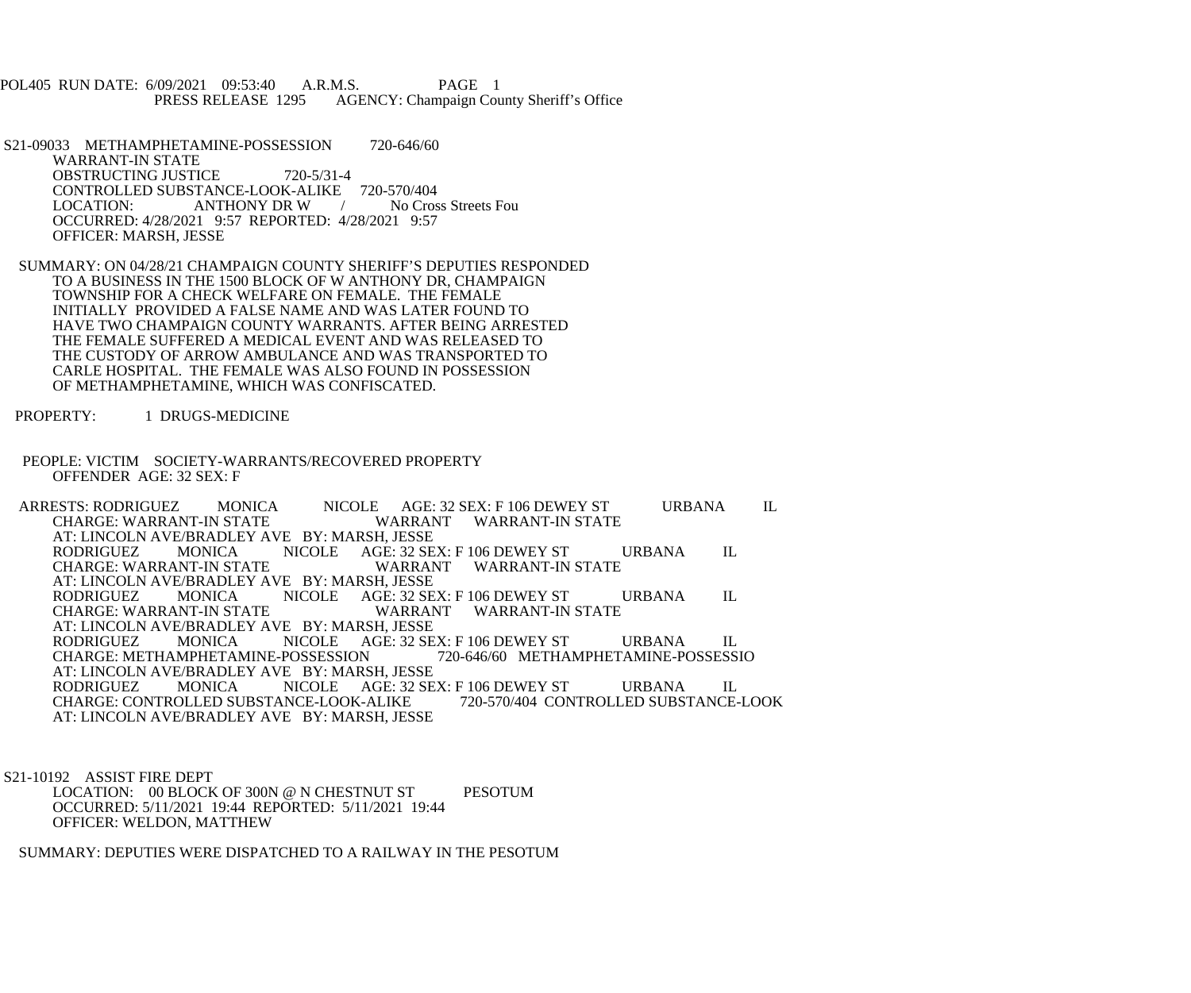POL405 RUN DATE: 6/09/2021 09:53:40 A.R.M.S. PAGE 1<br>PRESS RELEASE 1295 AGENCY: Champaign Cou AGENCY: Champaign County Sheriff's Office

S21-09033 METHAMPHETAMINE-POSSESSION 720-646/60 WARRANT-IN STATE OBSTRUCTING JUSTICE 720-5/31-4 CONTROLLED SUBSTANCE-LOOK-ALIKE 720-570/404<br>LOCATION: ANTHONY DR W / No Cross Streets Fou ANTHONY DR W  $/$  OCCURRED: 4/28/2021 9:57 REPORTED: 4/28/2021 9:57 OFFICER: MARSH, JESSE

- SUMMARY: ON 04/28/21 CHAMPAIGN COUNTY SHERIFF'S DEPUTIES RESPONDED TO A BUSINESS IN THE 1500 BLOCK OF W ANTHONY DR, CHAMPAIGN TOWNSHIP FOR A CHECK WELFARE ON FEMALE. THE FEMALE INITIALLY PROVIDED A FALSE NAME AND WAS LATER FOUND TO HAVE TWO CHAMPAIGN COUNTY WARRANTS. AFTER BEING ARRESTED THE FEMALE SUFFERED A MEDICAL EVENT AND WAS RELEASED TO THE CUSTODY OF ARROW AMBULANCE AND WAS TRANSPORTED TO CARLE HOSPITAL. THE FEMALE WAS ALSO FOUND IN POSSESSION OF METHAMPHETAMINE, WHICH WAS CONFISCATED.
- PROPERTY: 1 DRUGS-MEDICINE
- PEOPLE: VICTIM SOCIETY-WARRANTS/RECOVERED PROPERTY OFFENDER AGE: 32 SEX: F

ARRESTS: RODRIGUEZ MONICA NICOLE AGE: 32 SEX: F 106 DEWEY ST URBANA IL CHARGE: WARRANT-IN STATE WARRANT WARRANT-IN STATE WARRANT WARRANT-IN STATE AT: LINCOLN AVE/BRADLEY AVE BY: MARSH, JESSE<br>RODRIGUEZ MONICA NICOLE AGE: 32 SE NICOLE AGE: 32 SEX: F 106 DEWEY ST URBANA IL<br>WARRANT WARRANT-IN STATE CHARGE: WARRANT-IN STATE AT: LINCOLN AVE/BRADLEY AVE BY: MARSH, JESSE<br>RODRIGUEZ MONICA NICOLE AGE: 32 SE RODRIGUEZ MONICA NICOLE AGE: 32 SEX: F 106 DEWEY ST URBANA IL CHARGE: WARRANT-IN STATE WARRANT WARRANT-IN STATE AT: LINCOLN AVE/BRADLEY AVE BY: MARSH, JESSE<br>RODRIGUEZ MONICA NICOLE AGE: 32 SE NICOLE AGÉ: 32 SEX: F 106 DEWEY ST URBANA IL<br>POSSESSION 720-646/60 METHAMPHETAMINE-POSSESSIO CHARGE: METHAMPHETAMINE-POSSESSION AT: LINCOLN AVE/BRADLEY AVE BY: MARSH, JESSE<br>RODRIGUEZ MONICA NICOLE AGE: 32 SE NICOLE AGE: 32 SEX: F 106 DEWEY ST URBANA IL<br>NICE-LOOK-ALIKE 720-570/404 CONTROLLED SUBSTANCE-LOOK CHARGE: CONTROLLED SUBSTANCE-LOOK-ALIKE AT: LINCOLN AVE/BRADLEY AVE BY: MARSH, JESSE

S21-10192 ASSIST FIRE DEPT

LOCATION: 00 BLOCK OF 300N @ N CHESTNUT ST PESOTUM OCCURRED: 5/11/2021 19:44 REPORTED: 5/11/2021 19:44 OFFICER: WELDON, MATTHEW

SUMMARY: DEPUTIES WERE DISPATCHED TO A RAILWAY IN THE PESOTUM